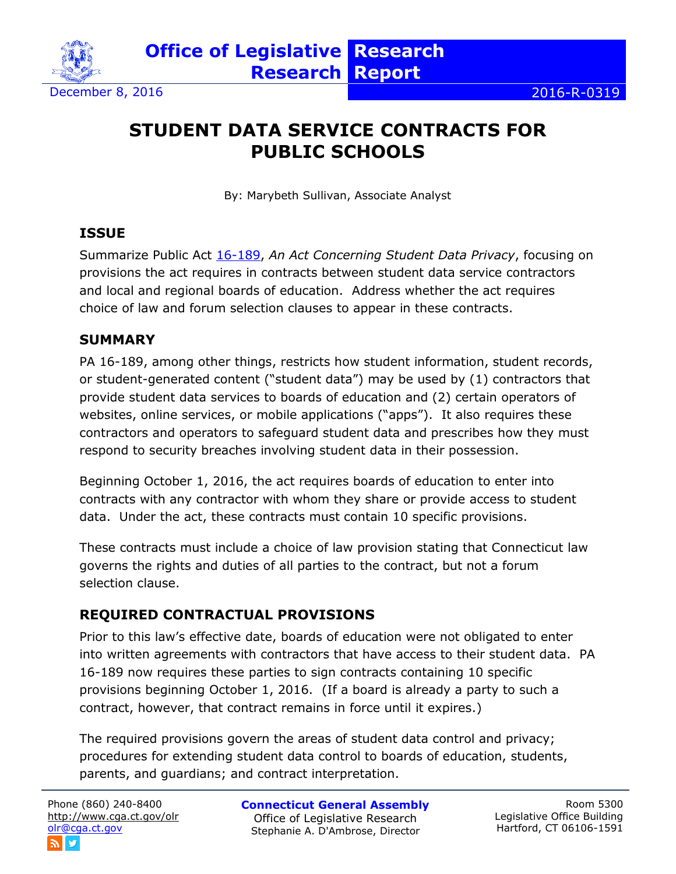

# **STUDENT DATA SERVICE CONTRACTS FOR PUBLIC SCHOOLS**

By: Marybeth Sullivan, Associate Analyst

## **ISSUE**

Summarize Public Act [16-189,](https://www.cga.ct.gov/asp/cgabillstatus/cgabillstatus.asp?selBillType=Public+Act&which_year=2016&bill_num=189) *An Act Concerning Student Data Privacy*, focusing on provisions the act requires in contracts between student data service contractors and local and regional boards of education. Address whether the act requires choice of law and forum selection clauses to appear in these contracts.

## **SUMMARY**

PA 16-189, among other things, restricts how student information, student records, or student-generated content ("student data") may be used by (1) contractors that provide student data services to boards of education and (2) certain operators of websites, online services, or mobile applications ("apps"). It also requires these contractors and operators to safeguard student data and prescribes how they must respond to security breaches involving student data in their possession.

Beginning October 1, 2016, the act requires boards of education to enter into contracts with any contractor with whom they share or provide access to student data. Under the act, these contracts must contain 10 specific provisions.

These contracts must include a choice of law provision stating that Connecticut law governs the rights and duties of all parties to the contract, but not a forum selection clause.

## **REQUIRED CONTRACTUAL PROVISIONS**

Prior to this law's effective date, boards of education were not obligated to enter into written agreements with contractors that have access to their student data. PA 16-189 now requires these parties to sign contracts containing 10 specific provisions beginning October 1, 2016. (If a board is already a party to such a contract, however, that contract remains in force until it expires.)

The required provisions govern the areas of student data control and privacy; procedures for extending student data control to boards of education, students, parents, and guardians; and contract interpretation.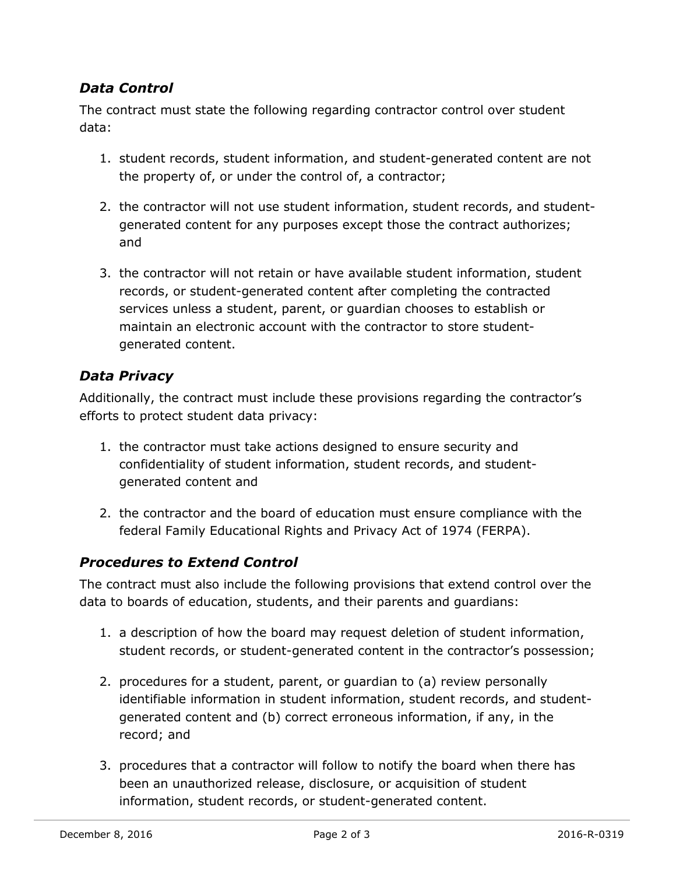## *Data Control*

The contract must state the following regarding contractor control over student data:

- 1. student records, student information, and student-generated content are not the property of, or under the control of, a contractor;
- 2. the contractor will not use student information, student records, and studentgenerated content for any purposes except those the contract authorizes; and
- 3. the contractor will not retain or have available student information, student records, or student-generated content after completing the contracted services unless a student, parent, or guardian chooses to establish or maintain an electronic account with the contractor to store studentgenerated content.

## *Data Privacy*

Additionally, the contract must include these provisions regarding the contractor's efforts to protect student data privacy:

- 1. the contractor must take actions designed to ensure security and confidentiality of student information, student records, and studentgenerated content and
- 2. the contractor and the board of education must ensure compliance with the federal Family Educational Rights and Privacy Act of 1974 (FERPA).

## *Procedures to Extend Control*

The contract must also include the following provisions that extend control over the data to boards of education, students, and their parents and guardians:

- 1. a description of how the board may request deletion of student information, student records, or student-generated content in the contractor's possession;
- 2. procedures for a student, parent, or guardian to (a) review personally identifiable information in student information, student records, and studentgenerated content and (b) correct erroneous information, if any, in the record; and
- 3. procedures that a contractor will follow to notify the board when there has been an unauthorized release, disclosure, or acquisition of student information, student records, or student-generated content.